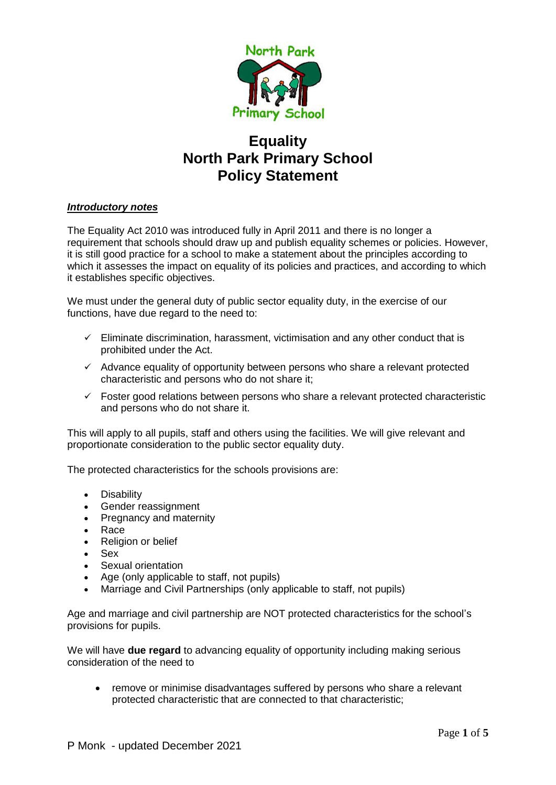

# **Equality North Park Primary School Policy Statement**

# *Introductory notes*

The Equality Act 2010 was introduced fully in April 2011 and there is no longer a requirement that schools should draw up and publish equality schemes or policies. However, it is still good practice for a school to make a statement about the principles according to which it assesses the impact on equality of its policies and practices, and according to which it establishes specific objectives.

We must under the general duty of public sector equality duty, in the exercise of our functions, have due regard to the need to:

- $\checkmark$  Eliminate discrimination, harassment, victimisation and any other conduct that is prohibited under the Act.
- $\checkmark$  Advance equality of opportunity between persons who share a relevant protected characteristic and persons who do not share it;
- $\checkmark$  Foster good relations between persons who share a relevant protected characteristic and persons who do not share it.

This will apply to all pupils, staff and others using the facilities. We will give relevant and proportionate consideration to the public sector equality duty.

The protected characteristics for the schools provisions are:

- Disability
- Gender reassignment
- Pregnancy and maternity
- Race
- Religion or belief
- Sex
- Sexual orientation
- Age (only applicable to staff, not pupils)
- Marriage and Civil Partnerships (only applicable to staff, not pupils)

Age and marriage and civil partnership are NOT protected characteristics for the school's provisions for pupils.

We will have **due regard** to advancing equality of opportunity including making serious consideration of the need to

• remove or minimise disadvantages suffered by persons who share a relevant protected characteristic that are connected to that characteristic;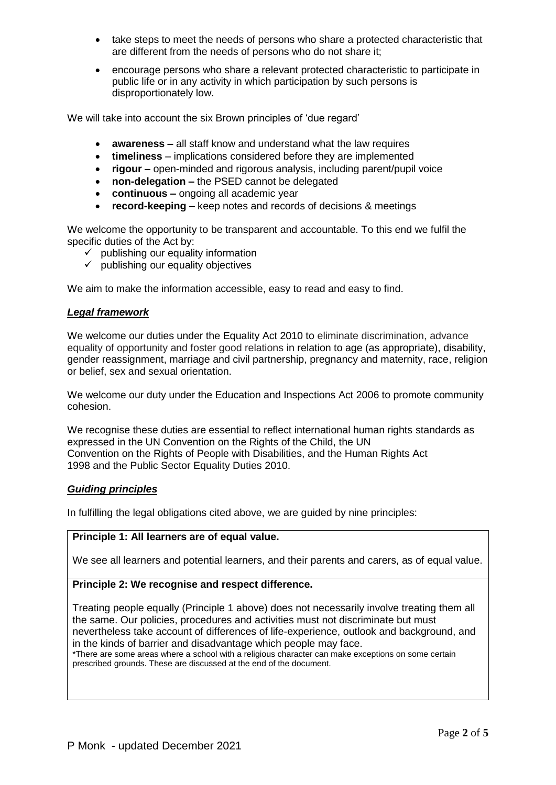- take steps to meet the needs of persons who share a protected characteristic that are different from the needs of persons who do not share it;
- encourage persons who share a relevant protected characteristic to participate in public life or in any activity in which participation by such persons is disproportionately low.

We will take into account the six Brown principles of 'due regard'

- **awareness –** all staff know and understand what the law requires
- **timeliness**  implications considered before they are implemented
- **rigour –** open-minded and rigorous analysis, including parent/pupil voice
- **non-delegation –** the PSED cannot be delegated
- **continuous –** ongoing all academic year
- **record-keeping –** keep notes and records of decisions & meetings

We welcome the opportunity to be transparent and accountable. To this end we fulfil the specific duties of the Act by:

- $\checkmark$  publishing our equality information
- $\checkmark$  publishing our equality objectives

We aim to make the information accessible, easy to read and easy to find.

## *Legal framework*

We welcome our duties under the Equality Act 2010 to eliminate discrimination, advance equality of opportunity and foster good relations in relation to age (as appropriate), disability, gender reassignment, marriage and civil partnership, pregnancy and maternity, race, religion or belief, sex and sexual orientation.

We welcome our duty under the Education and Inspections Act 2006 to promote community cohesion.

We recognise these duties are essential to reflect international human rights standards as expressed in the UN Convention on the Rights of the Child, the UN Convention on the Rights of People with Disabilities, and the Human Rights Act 1998 and the Public Sector Equality Duties 2010.

## *Guiding principles*

In fulfilling the legal obligations cited above, we are guided by nine principles:

## **Principle 1: All learners are of equal value.**

We see all learners and potential learners, and their parents and carers, as of equal value.

## **Principle 2: We recognise and respect difference.**

Treating people equally (Principle 1 above) does not necessarily involve treating them all the same. Our policies, procedures and activities must not discriminate but must nevertheless take account of differences of life-experience, outlook and background, and in the kinds of barrier and disadvantage which people may face.

\*There are some areas where a school with a religious character can make exceptions on some certain prescribed grounds. These are discussed at the end of the document.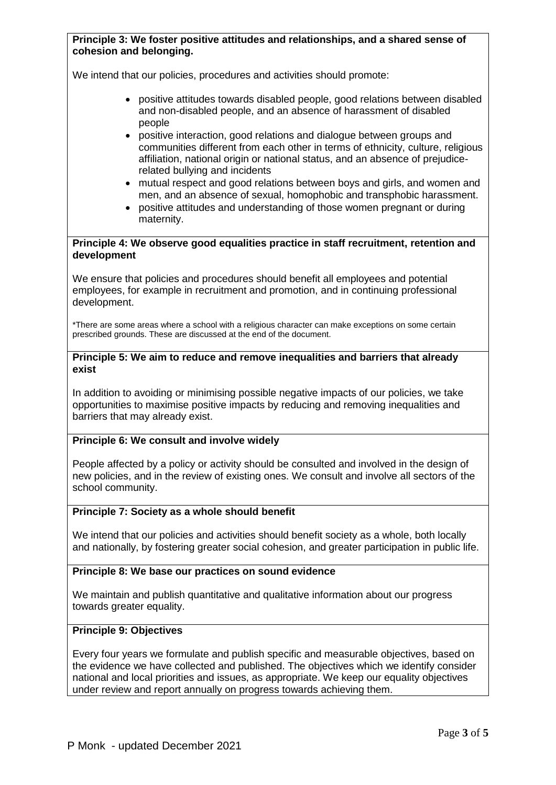# **Principle 3: We foster positive attitudes and relationships, and a shared sense of cohesion and belonging.**

We intend that our policies, procedures and activities should promote:

- positive attitudes towards disabled people, good relations between disabled and non-disabled people, and an absence of harassment of disabled people
- positive interaction, good relations and dialogue between groups and communities different from each other in terms of ethnicity, culture, religious affiliation, national origin or national status, and an absence of prejudicerelated bullying and incidents
- mutual respect and good relations between boys and girls, and women and men, and an absence of sexual, homophobic and transphobic harassment.
- positive attitudes and understanding of those women pregnant or during maternity.

## **Principle 4: We observe good equalities practice in staff recruitment, retention and development**

We ensure that policies and procedures should benefit all employees and potential employees, for example in recruitment and promotion, and in continuing professional development.

\*There are some areas where a school with a religious character can make exceptions on some certain prescribed grounds. These are discussed at the end of the document.

## **Principle 5: We aim to reduce and remove inequalities and barriers that already exist**

In addition to avoiding or minimising possible negative impacts of our policies, we take opportunities to maximise positive impacts by reducing and removing inequalities and barriers that may already exist.

# **Principle 6: We consult and involve widely**

People affected by a policy or activity should be consulted and involved in the design of new policies, and in the review of existing ones. We consult and involve all sectors of the school community.

## **Principle 7: Society as a whole should benefit**

We intend that our policies and activities should benefit society as a whole, both locally and nationally, by fostering greater social cohesion, and greater participation in public life.

## **Principle 8: We base our practices on sound evidence**

We maintain and publish quantitative and qualitative information about our progress towards greater equality.

# **Principle 9: Objectives**

Every four years we formulate and publish specific and measurable objectives, based on the evidence we have collected and published. The objectives which we identify consider national and local priorities and issues, as appropriate. We keep our equality objectives under review and report annually on progress towards achieving them.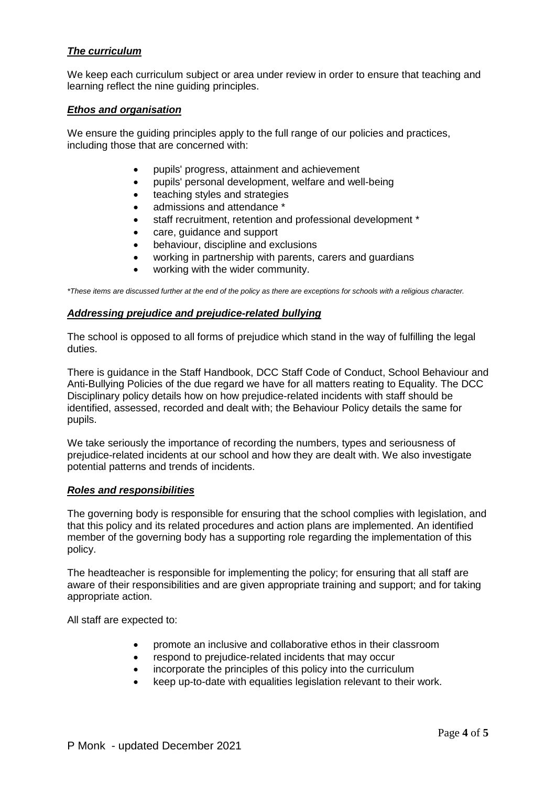# *The curriculum*

We keep each curriculum subject or area under review in order to ensure that teaching and learning reflect the nine guiding principles.

## *Ethos and organisation*

We ensure the guiding principles apply to the full range of our policies and practices, including those that are concerned with:

- pupils' progress, attainment and achievement
- pupils' personal development, welfare and well-being
- teaching styles and strategies
- admissions and attendance \*
- staff recruitment, retention and professional development \*
- care, guidance and support
- behaviour, discipline and exclusions
- working in partnership with parents, carers and guardians
- working with the wider community.

*\*These items are discussed further at the end of the policy as there are exceptions for schools with a religious character.*

## *Addressing prejudice and prejudice-related bullying*

The school is opposed to all forms of prejudice which stand in the way of fulfilling the legal duties.

There is guidance in the Staff Handbook, DCC Staff Code of Conduct, School Behaviour and Anti-Bullying Policies of the due regard we have for all matters reating to Equality. The DCC Disciplinary policy details how on how prejudice-related incidents with staff should be identified, assessed, recorded and dealt with; the Behaviour Policy details the same for pupils.

We take seriously the importance of recording the numbers, types and seriousness of prejudice-related incidents at our school and how they are dealt with. We also investigate potential patterns and trends of incidents.

## *Roles and responsibilities*

The governing body is responsible for ensuring that the school complies with legislation, and that this policy and its related procedures and action plans are implemented. An identified member of the governing body has a supporting role regarding the implementation of this policy.

The headteacher is responsible for implementing the policy; for ensuring that all staff are aware of their responsibilities and are given appropriate training and support; and for taking appropriate action.

All staff are expected to:

- promote an inclusive and collaborative ethos in their classroom
- respond to prejudice-related incidents that may occur
- incorporate the principles of this policy into the curriculum
- keep up-to-date with equalities legislation relevant to their work.